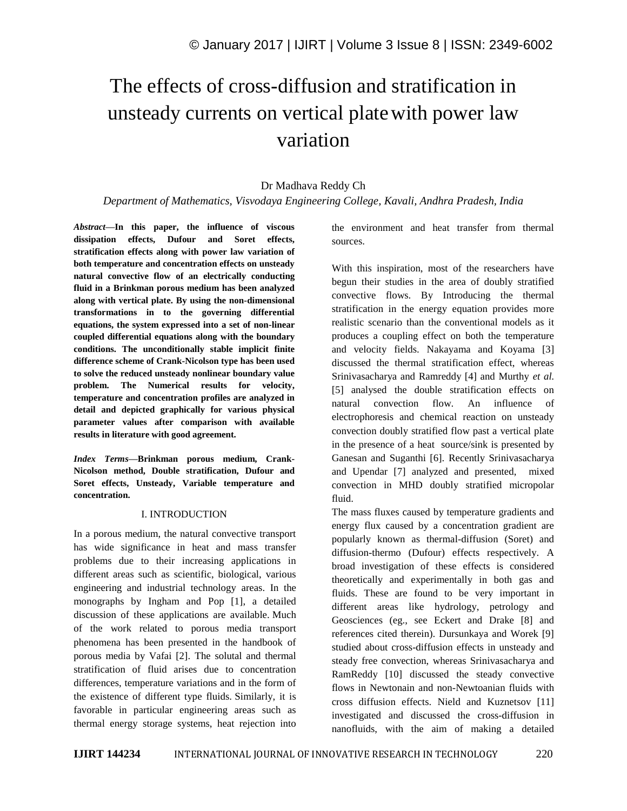# The effects of cross-diffusion and stratification in unsteady currents on vertical platewith power law variation

## Dr Madhava Reddy Ch

*Department of Mathematics, Visvodaya Engineering College, Kavali, Andhra Pradesh, India*

*Abstract—***In this paper, the influence of viscous dissipation effects, Dufour and Soret effects, stratification effects along with power law variation of both temperature and concentration effects on unsteady natural convective flow of an electrically conducting fluid in a Brinkman porous medium has been analyzed along with vertical plate. By using the non-dimensional transformations in to the governing differential equations, the system expressed into a set of non-linear coupled differential equations along with the boundary conditions. The unconditionally stable implicit finite difference scheme of Crank-Nicolson type has been used to solve the reduced unsteady nonlinear boundary value problem. The Numerical results for velocity, temperature and concentration profiles are analyzed in detail and depicted graphically for various physical parameter values after comparison with available results in literature with good agreement.**

*Index Terms—***Brinkman porous medium, Crank-Nicolson method, Double stratification, Dufour and Soret effects, Unsteady, Variable temperature and concentration.**

#### I. INTRODUCTION

In a porous medium, the natural convective transport has wide significance in heat and mass transfer problems due to their increasing applications in different areas such as scientific, biological, various engineering and industrial technology areas. In the monographs by Ingham and Pop [1], a detailed discussion of these applications are available. Much of the work related to porous media transport phenomena has been presented in the handbook of porous media by Vafai [2]. The solutal and thermal stratification of fluid arises due to concentration differences, temperature variations and in the form of the existence of different type fluids. Similarly, it is favorable in particular engineering areas such as thermal energy storage systems, heat rejection into the environment and heat transfer from thermal sources.

With this inspiration, most of the researchers have begun their studies in the area of doubly stratified convective flows. By Introducing the thermal stratification in the energy equation provides more realistic scenario than the conventional models as it produces a coupling effect on both the temperature and velocity fields. Nakayama and Koyama [3] discussed the thermal stratification effect, whereas Srinivasacharya and Ramreddy [4] and Murthy *et al.* [5] analysed the double stratification effects on natural convection flow. An influence of electrophoresis and chemical reaction on unsteady convection doubly stratified flow past a vertical plate in the presence of a heat source/sink is presented by Ganesan and Suganthi [6]. Recently Srinivasacharya and Upendar [7] analyzed and presented, mixed convection in MHD doubly stratified micropolar fluid.

The mass fluxes caused by temperature gradients and energy flux caused by a concentration gradient are popularly known as thermal-diffusion (Soret) and diffusion-thermo (Dufour) effects respectively. A broad investigation of these effects is considered theoretically and experimentally in both gas and fluids. These are found to be very important in different areas like hydrology, petrology and Geosciences (eg., see Eckert and Drake [8] and references cited therein). Dursunkaya and Worek [9] studied about cross-diffusion effects in unsteady and steady free convection, whereas Srinivasacharya and RamReddy [10] discussed the steady convective flows in Newtonain and non-Newtoanian fluids with cross diffusion effects. Nield and Kuznetsov [11] investigated and discussed the cross-diffusion in nanofluids, with the aim of making a detailed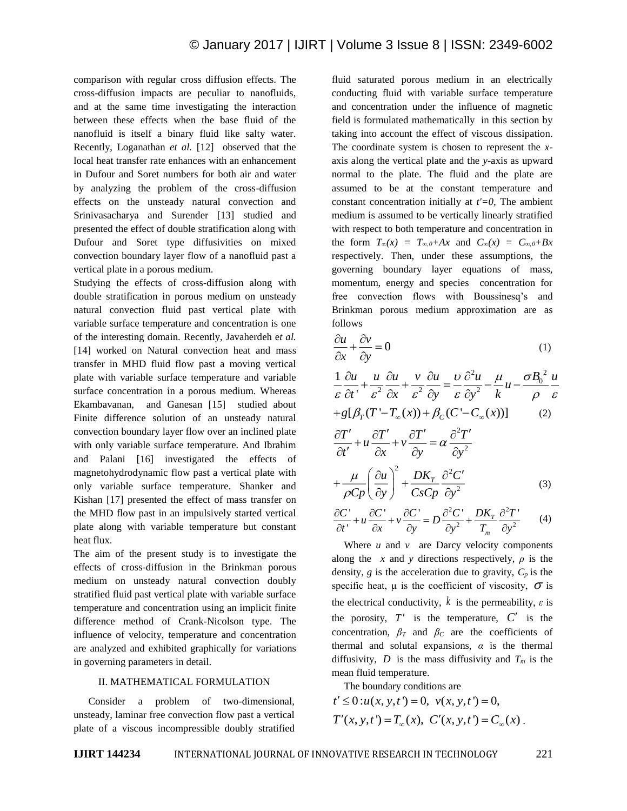comparison with regular cross diffusion effects. The cross-diffusion impacts are peculiar to nanofluids, and at the same time investigating the interaction between these effects when the base fluid of the nanofluid is itself a binary fluid like salty water. Recently, Loganathan *et al.* [12] observed that the local heat transfer rate enhances with an enhancement in Dufour and Soret numbers for both air and water by analyzing the problem of the cross-diffusion effects on the unsteady natural convection and Srinivasacharya and Surender [13] studied and presented the effect of double stratification along with Dufour and Soret type diffusivities on mixed convection boundary layer flow of a nanofluid past a vertical plate in a porous medium.

Studying the effects of cross-diffusion along with double stratification in porous medium on unsteady natural convection fluid past vertical plate with variable surface temperature and concentration is one of the interesting domain. Recently, Javaherdeh e*t al.*  [14] worked on Natural convection heat and mass transfer in MHD fluid flow past a moving vertical plate with variable surface temperature and variable surface concentration in a porous medium. Whereas Ekambavanan, and Ganesan [15] studied about Finite difference solution of an unsteady natural convection boundary layer flow over an inclined plate with only variable surface temperature. And Ibrahim and Palani [16] investigated the effects of magnetohydrodynamic flow past a vertical plate with only variable surface temperature. Shanker and Kishan [17] presented the effect of mass transfer on the MHD flow past in an impulsively started vertical plate along with variable temperature but constant heat flux.

The aim of the present study is to investigate the effects of cross-diffusion in the Brinkman porous medium on unsteady natural convection doubly stratified fluid past vertical plate with variable surface temperature and concentration using an implicit finite difference method of Crank-Nicolson type. The influence of velocity, temperature and concentration are analyzed and exhibited graphically for variations in governing parameters in detail.

#### II. MATHEMATICAL FORMULATION

Consider a problem of two-dimensional, unsteady, laminar free convection flow past a vertical plate of a viscous incompressible doubly stratified fluid saturated porous medium in an electrically conducting fluid with variable surface temperature and concentration under the influence of magnetic field is formulated mathematically in this section by taking into account the effect of viscous dissipation. The coordinate system is chosen to represent the *x*axis along the vertical plate and the *y*-axis as upward normal to the plate. The fluid and the plate are assumed to be at the constant temperature and constant concentration initially at *t'=0,* The ambient medium is assumed to be vertically linearly stratified with respect to both temperature and concentration in the form  $T_{\infty}(x) = T_{\infty,0} + Ax$  and  $C_{\infty}(x) = C_{\infty,0} + Bx$ respectively. Then, under these assumptions, the governing boundary layer equations of mass, momentum, energy and species concentration for free convection flows with Boussinesq's and Brinkman porous medium approximation are as follows

$$
\frac{\partial u}{\partial x} + \frac{\partial v}{\partial y} = 0 \tag{1}
$$

$$
\frac{1}{\varepsilon} \frac{\partial u}{\partial t} + \frac{u}{\varepsilon^2} \frac{\partial u}{\partial x} + \frac{v}{\varepsilon^2} \frac{\partial u}{\partial y} = \frac{v}{\varepsilon} \frac{\partial^2 u}{\partial y^2} - \frac{\mu}{k} u - \frac{\sigma B_0^2}{\rho} \frac{u}{\varepsilon}
$$

$$
+ g[\beta_T (T'-T_{\infty}(x)) + \beta_C (C'-C_{\infty}(x))]
$$
(2)

$$
\frac{\partial T'}{\partial t'} + u \frac{\partial T'}{\partial x} + v \frac{\partial T'}{\partial y} = \alpha \frac{\partial^2 T'}{\partial y^2} + \frac{\mu}{\rho C p} \left( \frac{\partial u}{\partial y} \right)^2 + \frac{DK_T}{C s C p} \frac{\partial^2 C'}{\partial y^2}
$$
(3)

$$
\frac{\partial C'}{\partial t'} + u \frac{\partial C'}{\partial x} + v \frac{\partial C'}{\partial y} = D \frac{\partial^2 C'}{\partial y^2} + \frac{DK_T}{T_m} \frac{\partial^2 T'}{\partial y^2}
$$
 (4)

Where  $u$  and  $v$  are Darcy velocity components along the *x* and *y* directions respectively,  $\rho$  is the density,  $g$  is the acceleration due to gravity,  $C_p$  is the specific heat,  $\mu$  is the coefficient of viscosity,  $\sigma$  is the electrical conductivity,  $k$  is the permeability,  $\varepsilon$  is the porosity,  $T'$  is the temperature,  $C'$  is the concentration,  $\beta_T$  and  $\beta_C$  are the coefficients of thermal and solutal expansions,  $\alpha$  is the thermal diffusivity,  $D$  is the mass diffusivity and  $T_m$  is the mean fluid temperature.

The boundary conditions are

$$
t' \le 0: u(x, y, t') = 0, \quad v(x, y, t') = 0,
$$
  
\n
$$
T'(x, y, t') = T_{\infty}(x), \quad C'(x, y, t') = C_{\infty}(x).
$$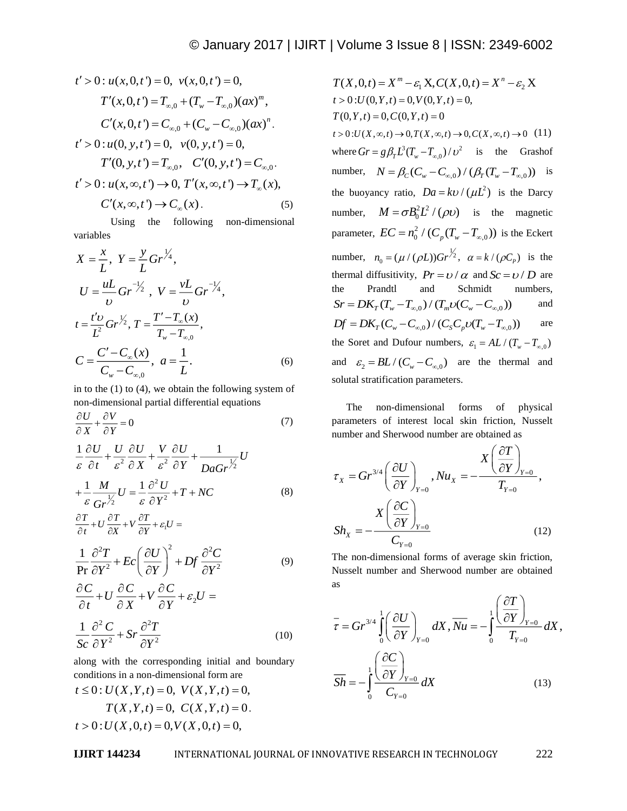$$
t' > 0: u(x, 0, t') = 0, v(x, 0, t') = 0,
$$
  
\n
$$
T'(x, 0, t') = T_{\infty, 0} + (T_w - T_{\infty, 0})(ax)^m,
$$
  
\n
$$
C'(x, 0, t') = C_{\infty, 0} + (C_w - C_{\infty, 0})(ax)^n.
$$
  
\n
$$
t' > 0: u(0, y, t') = 0, v(0, y, t') = 0,
$$
  
\n
$$
T'(0, y, t') = T_{\infty, 0}, C'(0, y, t') = C_{\infty, 0}.
$$
  
\n
$$
t' > 0: u(x, \infty, t') \rightarrow 0, T'(x, \infty, t') \rightarrow T_{\infty}(x),
$$
  
\n
$$
C'(x, \infty, t') \rightarrow C_{\infty}(x).
$$
  
\n(5)

Using the following non-dimensional variables

$$
X = \frac{x}{L}, Y = \frac{y}{L} Gr^{\frac{1}{4}},
$$
  
\n
$$
U = \frac{uL}{v} Gr^{\frac{-1}{2}}, V = \frac{vL}{v} Gr^{\frac{-1}{4}},
$$
  
\n
$$
t = \frac{t'v}{L^2} Gr^{\frac{1}{2}}, T = \frac{T' - T_{\infty}(x)}{T_w - T_{\infty,0}},
$$
  
\n
$$
C = \frac{C' - C_{\infty}(x)}{C_w - C_{\infty,0}}, a = \frac{1}{L}.
$$
 (6)

in to the (1) to (4), we obtain the following system of non-dimensional partial differential equations

$$
\frac{\partial U}{\partial X} + \frac{\partial V}{\partial Y} = 0\tag{7}
$$

$$
\frac{1}{\varepsilon} \frac{\partial U}{\partial t} + \frac{U}{\varepsilon^2} \frac{\partial U}{\partial X} + \frac{V}{\varepsilon^2} \frac{\partial U}{\partial Y} + \frac{1}{DaGr} \frac{U}{2} U
$$
  
+ 
$$
\frac{1}{\varepsilon} \frac{M}{Gr} \frac{U}{2} = \frac{1}{\varepsilon} \frac{\partial^2 U}{\partial Y^2} + T + NC
$$
 (8)

$$
\frac{\partial T}{\partial t} + U \frac{\partial T}{\partial x} + V \frac{\partial T}{\partial y} + \varepsilon_1 U =
$$

$$
\frac{1}{\Pr} \frac{\partial^2 T}{\partial Y^2} + Ec \left( \frac{\partial U}{\partial Y} \right)^2 + Df \frac{\partial^2 C}{\partial Y^2}
$$
(9)

$$
\frac{\partial C}{\partial t} + U \frac{\partial C}{\partial X} + V \frac{\partial C}{\partial Y} + \varepsilon_2 U =
$$
\n
$$
\frac{1}{Sc} \frac{\partial^2 C}{\partial Y^2} + Sr \frac{\partial^2 T}{\partial Y^2}
$$
\n(10)

along with the corresponding initial and boundary conditions in a non-dimensional form are

$$
t \le 0: U(X, Y, t) = 0, V(X, Y, t) = 0,
$$
  
\n
$$
T(X, Y, t) = 0, C(X, Y, t) = 0.
$$
  
\n
$$
t > 0: U(X, 0, t) = 0, V(X, 0, t) = 0,
$$

*I* > 0, (*x*, 0, (*x*) = 0, (*x*(*x*, 0, (*x*) = 1, (*x*) *x*(*x*) = 2 − (*x*), *x*(*x*) = 1 (*x*), *x*(*x*) = 0, (*x*), *x*(*x*) = 0, (*x*), *x*(*x*) = 0, (*x*), *x*(*x*) = 0, (*x*), *x*(*x*) = 0, (*x*), *x*(*x*), *x*  $T^2 > 0$ ;  $u(x_0, t, t) = 0$ ,  $u(x_0, t, t) = 0$ ,  $u(x_0, t, t) = 0$ ,  $u(x_0, t, t) = 0$ ,  $u(x_0, t, t) = 0$ ,  $u(x_0, t, t) = 0$ ,  $u(x_0, t, t) = L_{c,s}$   $\lambda(x_0, t, t) = L_{c,s}$   $\lambda(x_0, t, t) = L_{c,s}$   $\lambda(x_0, t, t) = L_{c,s}$   $\lambda(x_0, t, t) = 0$ ,  $u(x_0, t, t) = 0$ ,  $u(x_0$  $t > 0$ : $U(0, Y, t) = 0, V(0, Y, t) = 0,$  $T(0, Y, t) = 0, C(0, Y, t) = 0$  $t > 0: U(X, \infty, t) \to 0, T(X, \infty, t) \to 0, C(X, \infty, t) \to 0$  (11) where  $Gr = g\beta_T L^3 (T_w - T_{\infty,0}) / v^2$  is the Grashof number,  $N = \beta_C (C_w - C_{\infty,0}) / (\beta_T (T_w - T_{\infty,0}))$  is the buoyancy ratio,  $Da = k\upsilon / (\mu L^2)$  is the Darcy number,  $M = \sigma B_0^2 L^2 / (\rho v)$  is the magnetic parameter,  $EC = n_0^2 / (C_p(T_w - T_{\infty,0}))$  is the Eckert number,  $n_0 = (\mu / (\rho L))Gr^{\frac{1}{2}}, \alpha = k / (\rho C_p)$  is the thermal diffusitivity,  $Pr = \frac{v}{\alpha}$  and  $Sc = \frac{v}{D}$  are the Prandtl and Schmidt numbers,  $S_r = D K_T (T_w - T_{\infty,0}) / (T_m \nu (C_w - C_{\infty,0}))$ and  $Df = DK_T(C_w - C_{\infty,0}) / (C_s C_p U(T_w - T_{\infty,0}))$ are the Soret and Dufour numbers,  $\varepsilon_1 = A L / (T_w - T_{\infty,0})$ and  $\varepsilon_2 = BL / (C_w - C_{\infty,0})$  are the thermal and solutal stratification parameters.

The non-dimensional forms of physical parameters of interest local skin friction, Nusselt number and Sherwood number are obtained as

$$
\tau_{X} = Gr^{3/4} \left( \frac{\partial U}{\partial Y} \right)_{Y=0}, Nu_{X} = -\frac{X \left( \frac{\partial T}{\partial Y} \right)_{Y=0}}{T_{Y=0}},
$$
\n
$$
Sh_{X} = -\frac{X \left( \frac{\partial C}{\partial Y} \right)_{Y=0}}{C_{Y=0}} \tag{12}
$$

The non-dimensional forms of average skin friction, Nusselt number and Sherwood number are obtained as

$$
\overline{\tau} = Gr^{3/4} \int_{0}^{1} \left( \frac{\partial U}{\partial Y} \right)_{Y=0} dX, \overline{Nu} = -\int_{0}^{1} \left( \frac{\partial T}{\partial Y} \right)_{Y=0} dX,
$$

$$
\overline{Sh} = -\int_{0}^{1} \left( \frac{\partial C}{\partial Y} \right)_{Y=0} dX \qquad (13)
$$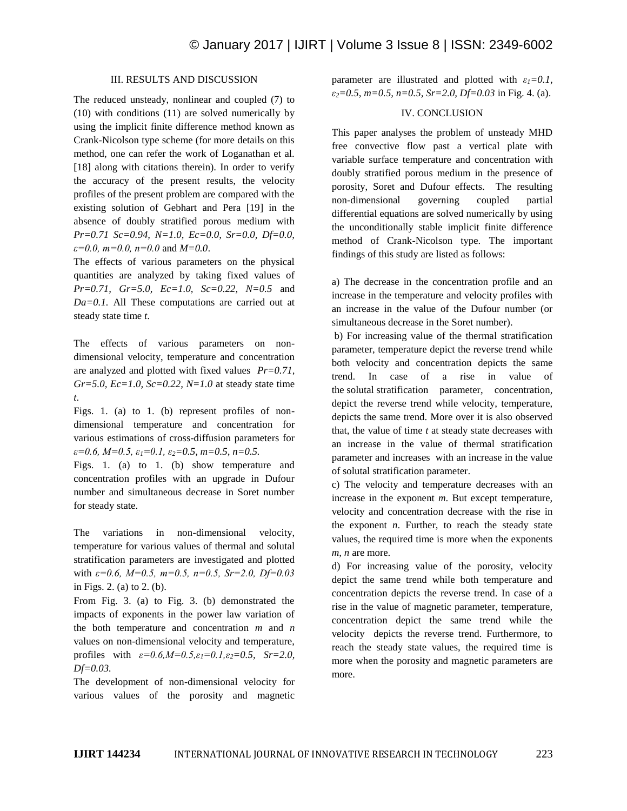#### III. RESULTS AND DISCUSSION

The reduced unsteady, nonlinear and coupled (7) to (10) with conditions (11) are solved numerically by using the implicit finite difference method known as Crank-Nicolson type scheme (for more details on this method, one can refer the work of Loganathan et al. [18] along with citations therein). In order to verify the accuracy of the present results, the velocity profiles of the present problem are compared with the existing solution of Gebhart and Pera [19] in the absence of doubly stratified porous medium with *Pr=0.71 Sc=0.94, N=1.0, Ec=0.0, Sr=0.0, Df=0.0, ε=0.0, m=0.0, n=0.0* and *M=0.0*.

The effects of various parameters on the physical quantities are analyzed by taking fixed values of *Pr=0.71, Gr=5.0, Ec=1.0, Sc=0.22, N=0.5* and *Da=0.1.* All These computations are carried out at steady state time *t*.

The effects of various parameters on nondimensional velocity, temperature and concentration are analyzed and plotted with fixed values *Pr=0.71, Gr=5.0, Ec=1.0, Sc=0.22, N=1.0* at steady state time *t*.

Figs. 1. (a) to 1. (b) represent profiles of nondimensional temperature and concentration for various estimations of cross-diffusion parameters for *ε=0.6, M=0.5, ε1=0.1, ε2=0.5, m=0.5, n=0.5.*

Figs. 1. (a) to 1. (b) show temperature and concentration profiles with an upgrade in Dufour number and simultaneous decrease in Soret number for steady state.

The variations in non-dimensional velocity, temperature for various values of thermal and solutal stratification parameters are investigated and plotted with *ε=0.6, M=0.5, m=0.5, n=0.5, Sr=2.0, Df=0.03*  in Figs. 2. (a) to 2. (b).

From Fig. 3. (a) to Fig. 3. (b) demonstrated the impacts of exponents in the power law variation of the both temperature and concentration *m* and *n* values on non-dimensional velocity and temperature, profiles with  $\varepsilon = 0.6, M = 0.5, \varepsilon_1 = 0.1, \varepsilon_2 = 0.5, Sr = 2.0$ , *Df=0.03.*

The development of non-dimensional velocity for various values of the porosity and magnetic parameter are illustrated and plotted with  $\varepsilon_1 = 0.1$ , *ε2=0.5, m=0.5, n=0.5, Sr=2.0, Df=0.03* in Fig. 4. (a).

### IV. CONCLUSION

This paper analyses the problem of unsteady MHD free convective flow past a vertical plate with variable surface temperature and concentration with doubly stratified porous medium in the presence of porosity, Soret and Dufour effects. The resulting non-dimensional governing coupled partial differential equations are solved numerically by using the unconditionally stable implicit finite difference method of Crank-Nicolson type. The important findings of this study are listed as follows:

a) The decrease in the concentration profile and an increase in the temperature and velocity profiles with an increase in the value of the Dufour number (or simultaneous decrease in the Soret number).

b) For increasing value of the thermal stratification parameter, temperature depict the reverse trend while both velocity and concentration depicts the same trend. In case of a rise in value of the solutal stratification parameter, concentration, depict the reverse trend while velocity, temperature, depicts the same trend. More over it is also observed that, the value of time *t* at steady state decreases with an increase in the value of thermal stratification parameter and increases with an increase in the value of solutal stratification parameter.

c) The velocity and temperature decreases with an increase in the exponent *m*. But except temperature, velocity and concentration decrease with the rise in the exponent  $n$ . Further, to reach the steady state values, the required time is more when the exponents *m, n* are more.

d) For increasing value of the porosity, velocity depict the same trend while both temperature and concentration depicts the reverse trend. In case of a rise in the value of magnetic parameter, temperature, concentration depict the same trend while the velocity depicts the reverse trend. Furthermore, to reach the steady state values, the required time is more when the porosity and magnetic parameters are more.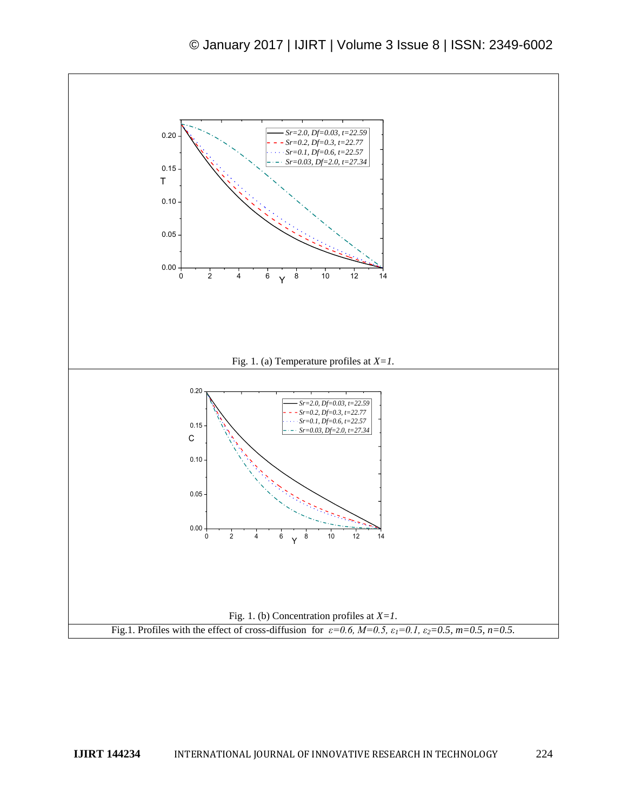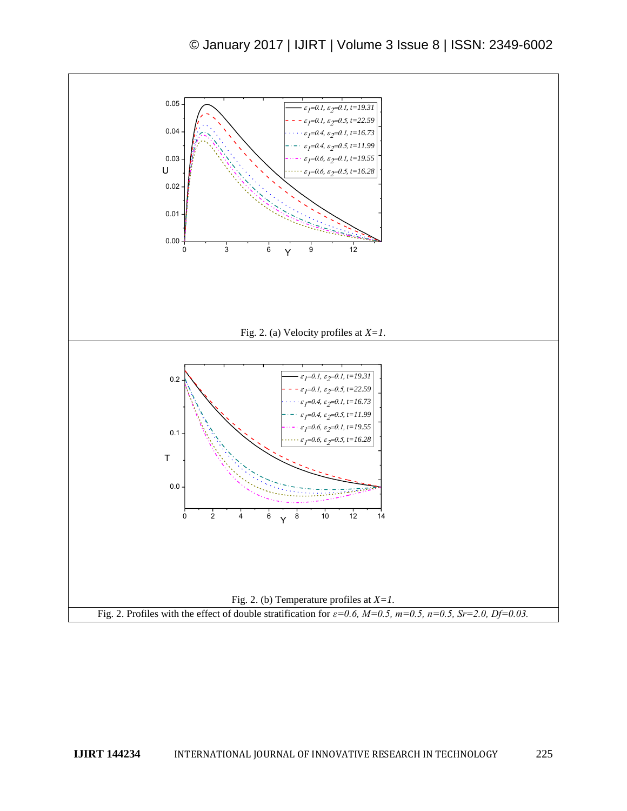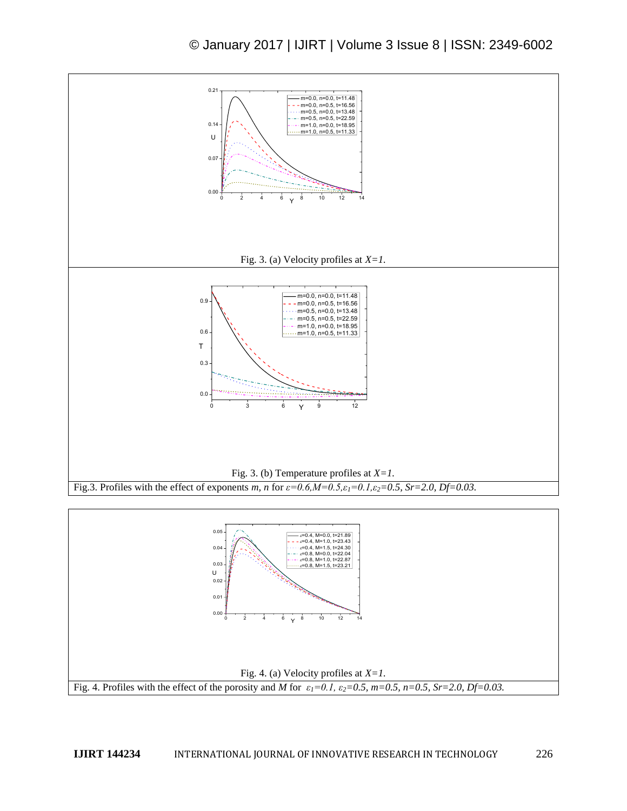